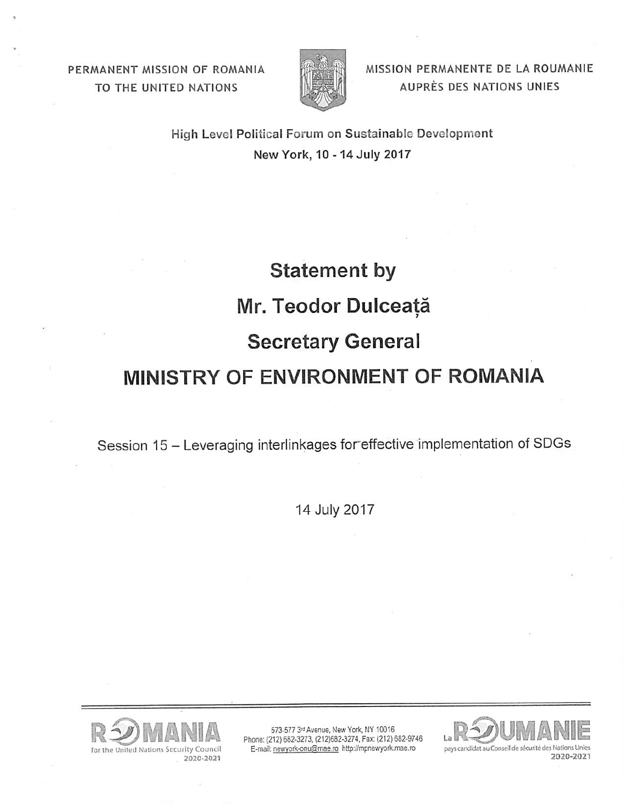PERMANENT MISSION OF ROMANIA TO THE UNITED NATIONS



**MISSION PERMANENTE DE LA ROUMANIE** A UPRES DES NATIONS UNIES

High Level Political Forum on Sustainable Development New York, 10 - 14 July 2017

## **Statement by Mr. Teodor Dulceata** , **Secretary General MINISTRY OF ENVIRONMENT OF ROMANIA**

Session 15 - Leveraging interlinkages for effective implementation of SDGs

14 July 2017



573-577 3rd Avenue, New York, NY 10016 Phone: (212) 682-3273, (212)682-3274, Fax: (212) 682-9746 E-mail: newyork-onu@mae.ro http://mpnewyork.mae.ro

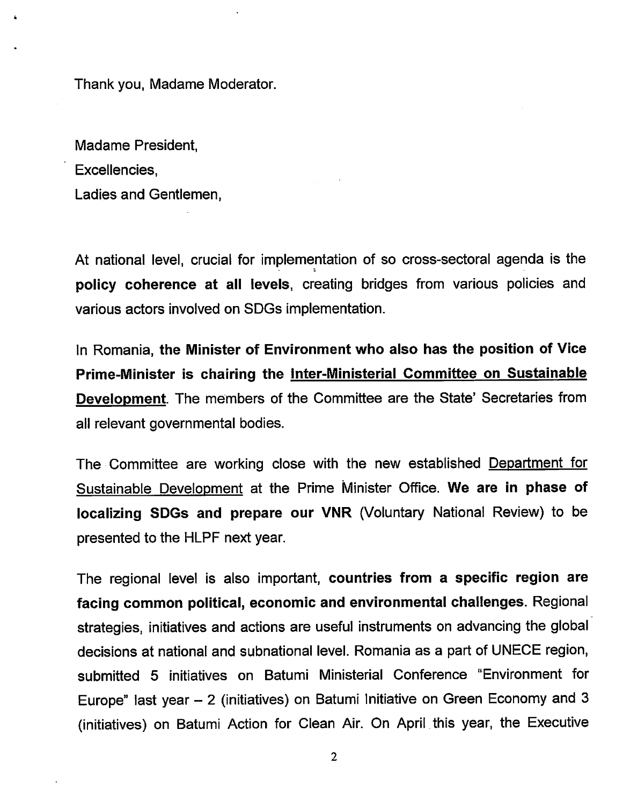Thank you, Madame Moderator.

Madame President, Excellencies, Ladies and Gentlemen,

At national level, crucial for implementation of so cross-sectoral agenda is the • a **policy coherence at all levels,** creating bridges from various policies and various actors involved on SDGs implementation.

In Romania, **the Minister of Environment who also has the position of Vice Prime-Minister is chairing the Inter-Ministerial Committee on Sustainable Development.** The members of the Committee are the State' Secretaries from all relevant governmental bodies.

The Committee are working close with the new established Department for Sustainable Development at the Prime Minister Office. **We are in phase of localizing SDGs and prepare our VNR** (Voluntary National Review) to be presented to the HLPF next year.

The regional level is also important, **countries from a specific region are facing common political, economic and environmental challenges.** Regional strategies, initiatives and actions are useful instruments on advancing the global decisions at national and subnational level. Romania as a part of UNECE region, submitted 5 initiatives on Batumi Ministerial Conference "Environment for Europe" last year - 2 (initiatives) on Batumi Initiative on Green Economy and 3 (initiatives) on Batumi Action for Clean Air. On April. this year, the Executive

2